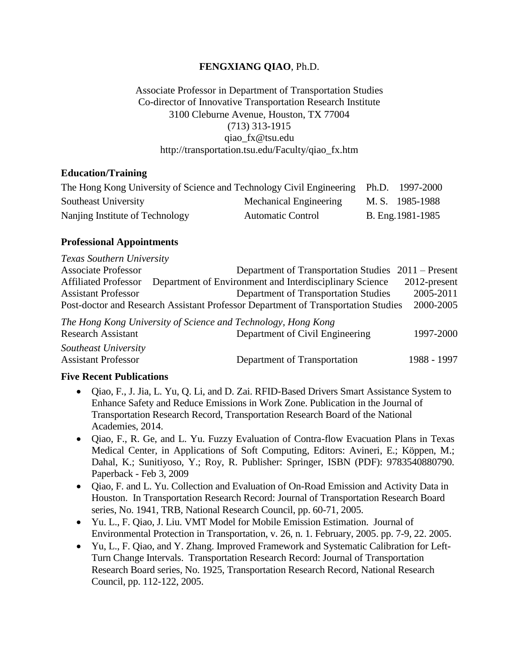### **FENGXIANG QIAO**, Ph.D.

# Associate Professor in Department of Transportation Studies Co-director of Innovative Transportation Research Institute 3100 Cleburne Avenue, Houston, TX 77004 (713) 313-1915 qiao\_fx@tsu.edu http://transportation.tsu.edu/Faculty/qiao\_fx.htm

#### **Education/Training**

| The Hong Kong University of Science and Technology Civil Engineering Ph.D. 1997-2000 |                          |                   |
|--------------------------------------------------------------------------------------|--------------------------|-------------------|
| Southeast University                                                                 | Mechanical Engineering   | M.S. 1985-1988    |
| Nanjing Institute of Technology                                                      | <b>Automatic Control</b> | B. Eng. 1981-1985 |

#### **Professional Appointments**

| Texas Southern University                                     |                                                                                   |                 |  |
|---------------------------------------------------------------|-----------------------------------------------------------------------------------|-----------------|--|
| <b>Associate Professor</b>                                    | Department of Transportation Studies 2011 – Present                               |                 |  |
| <b>Affiliated Professor</b>                                   | Department of Environment and Interdisciplinary Science                           | $2012$ -present |  |
| <b>Assistant Professor</b>                                    | Department of Transportation Studies                                              | 2005-2011       |  |
|                                                               | Post-doctor and Research Assistant Professor Department of Transportation Studies | 2000-2005       |  |
| The Hong Kong University of Science and Technology, Hong Kong |                                                                                   |                 |  |
| <b>Research Assistant</b>                                     | Department of Civil Engineering                                                   | 1997-2000       |  |
| Southeast University                                          |                                                                                   |                 |  |

Assistant Professor **Department of Transportation** 1988 - 1997

#### **Five Recent Publications**

- Qiao, F., J. Jia, L. Yu, Q. Li, and D. Zai. RFID-Based Drivers Smart Assistance System to Enhance Safety and Reduce Emissions in Work Zone. Publication in the Journal of Transportation Research Record, Transportation Research Board of the National Academies, 2014.
- Qiao, F., R. Ge, and L. Yu. Fuzzy Evaluation of Contra-flow Evacuation Plans in Texas Medical Center, in Applications of Soft Computing, Editors: Avineri, E.; Köppen, M.; Dahal, K.; Sunitiyoso, Y.; Roy, R. Publisher: Springer, ISBN (PDF): 9783540880790. Paperback - Feb 3, 2009
- Qiao, F. and L. Yu. Collection and Evaluation of On-Road Emission and Activity Data in Houston. In Transportation Research Record: Journal of Transportation Research Board series, No. 1941, TRB, National Research Council, pp. 60-71, 2005.
- Yu. L., F. Qiao, J. Liu. VMT Model for Mobile Emission Estimation. Journal of Environmental Protection in Transportation, v. 26, n. 1. February, 2005. pp. 7-9, 22. 2005.
- Yu, L., F. Qiao, and Y. Zhang. Improved Framework and Systematic Calibration for Left-Turn Change Intervals. Transportation Research Record: Journal of Transportation Research Board series, No. 1925, Transportation Research Record, National Research Council, pp. 112-122, 2005.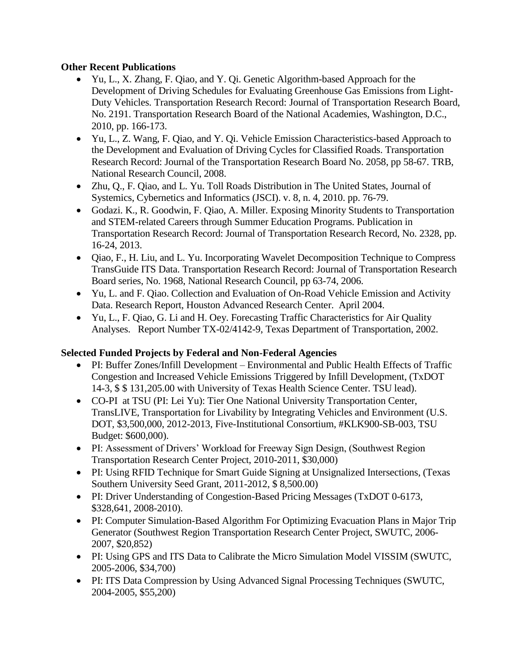# **Other Recent Publications**

- Yu, L., X. Zhang, F. Qiao, and Y. Qi. Genetic Algorithm-based Approach for the Development of Driving Schedules for Evaluating Greenhouse Gas Emissions from Light-Duty Vehicles. Transportation Research Record: Journal of Transportation Research Board, No. 2191. Transportation Research Board of the National Academies, Washington, D.C., 2010, pp. 166-173.
- Yu, L., Z. Wang, F. Qiao, and Y. Qi. Vehicle Emission Characteristics-based Approach to the Development and Evaluation of Driving Cycles for Classified Roads. Transportation Research Record: Journal of the Transportation Research Board No. 2058, pp 58-67. TRB, National Research Council, 2008.
- Zhu, Q., F. Qiao, and L. Yu. Toll Roads Distribution in The United States, Journal of Systemics, Cybernetics and Informatics (JSCI). v. 8, n. 4, 2010. pp. 76-79.
- Godazi. K., R. Goodwin, F. Qiao, A. Miller. Exposing Minority Students to Transportation and STEM-related Careers through Summer Education Programs. Publication in Transportation Research Record: Journal of Transportation Research Record, No. 2328, pp. 16-24, 2013.
- Qiao, F., H. Liu, and L. Yu. Incorporating Wavelet Decomposition Technique to Compress TransGuide ITS Data. Transportation Research Record: Journal of Transportation Research Board series, No. 1968, National Research Council, pp 63-74, 2006.
- Yu, L. and F. Qiao. Collection and Evaluation of On-Road Vehicle Emission and Activity Data. Research Report, Houston Advanced Research Center. April 2004.
- Yu, L., F. Qiao, G. Li and H. Oey. Forecasting Traffic Characteristics for Air Quality Analyses. Report Number TX-02/4142-9, Texas Department of Transportation, 2002.

# **Selected Funded Projects by Federal and Non-Federal Agencies**

- PI: Buffer Zones/Infill Development Environmental and Public Health Effects of Traffic Congestion and Increased Vehicle Emissions Triggered by Infill Development, (TxDOT 14-3, \$ \$ 131,205.00 with University of Texas Health Science Center. TSU lead).
- CO-PI at TSU (PI: Lei Yu): Tier One National University Transportation Center, TransLIVE, Transportation for Livability by Integrating Vehicles and Environment (U.S. DOT, \$3,500,000, 2012-2013, Five-Institutional Consortium, #KLK900-SB-003, TSU Budget: \$600,000).
- PI: Assessment of Drivers' Workload for Freeway Sign Design, (Southwest Region Transportation Research Center Project, 2010-2011, \$30,000)
- PI: Using RFID Technique for Smart Guide Signing at Unsignalized Intersections, (Texas Southern University Seed Grant, 2011-2012, \$ 8,500.00)
- PI: Driver Understanding of Congestion-Based Pricing Messages (TxDOT 0-6173, \$328,641, 2008-2010).
- PI: Computer Simulation-Based Algorithm For Optimizing Evacuation Plans in Major Trip Generator (Southwest Region Transportation Research Center Project, SWUTC, 2006- 2007, \$20,852)
- PI: Using GPS and ITS Data to Calibrate the Micro Simulation Model VISSIM (SWUTC, 2005-2006, \$34,700)
- PI: ITS Data Compression by Using Advanced Signal Processing Techniques (SWUTC, 2004-2005, \$55,200)